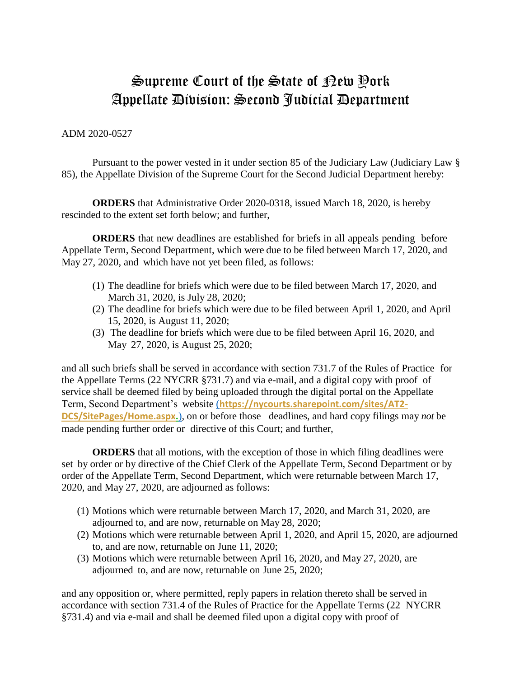## Supreme Court of the State of New York Appellate Division: Second Judicial Department

## ADM 2020-0527

Pursuant to the power vested in it under section 85 of the Judiciary Law (Judiciary Law § 85), the Appellate Division of the Supreme Court for the Second Judicial Department hereby:

**ORDERS** that Administrative Order 2020-0318, issued March 18, 2020, is hereby rescinded to the extent set forth below; and further,

**ORDERS** that new deadlines are established for briefs in all appeals pending before Appellate Term, Second Department, which were due to be filed between March 17, 2020, and May 27, 2020, and which have not yet been filed, as follows:

- (1) The deadline for briefs which were due to be filed between March 17, 2020, and March 31, 2020, is July 28, 2020;
- (2) The deadline for briefs which were due to be filed between April 1, 2020, and April 15, 2020, is August 11, 2020;
- (3) The deadline for briefs which were due to be filed between April 16, 2020, and May 27, 2020, is August 25, 2020;

and all such briefs shall be served in accordance with section 731.7 of the Rules of Practice for the Appellate Terms (22 NYCRR §731.7) and via e-mail, and a digital copy with proof of service shall be deemed filed by being uploaded through the digital portal on the Appellate Term, Second Department's website (**https://nycourts.sharepoint.com/sites/AT2- DCS/SitePages/Home.aspx.**), on or before those deadlines, and hard copy filings may *not* be made pending further order or directive of this Court; and further,

**ORDERS** that all motions, with the exception of those in which filing deadlines were set by order or by directive of the Chief Clerk of the Appellate Term, Second Department or by order of the Appellate Term, Second Department, which were returnable between March 17, 2020, and May 27, 2020, are adjourned as follows:

- (1) Motions which were returnable between March 17, 2020, and March 31, 2020, are adjourned to, and are now, returnable on May 28, 2020;
- (2) Motions which were returnable between April 1, 2020, and April 15, 2020, are adjourned to, and are now, returnable on June 11, 2020;
- (3) Motions which were returnable between April 16, 2020, and May 27, 2020, are adjourned to, and are now, returnable on June 25, 2020;

and any opposition or, where permitted, reply papers in relation thereto shall be served in accordance with section 731.4 of the Rules of Practice for the Appellate Terms (22 NYCRR §731.4) and via e-mail and shall be deemed filed upon a digital copy with proof of